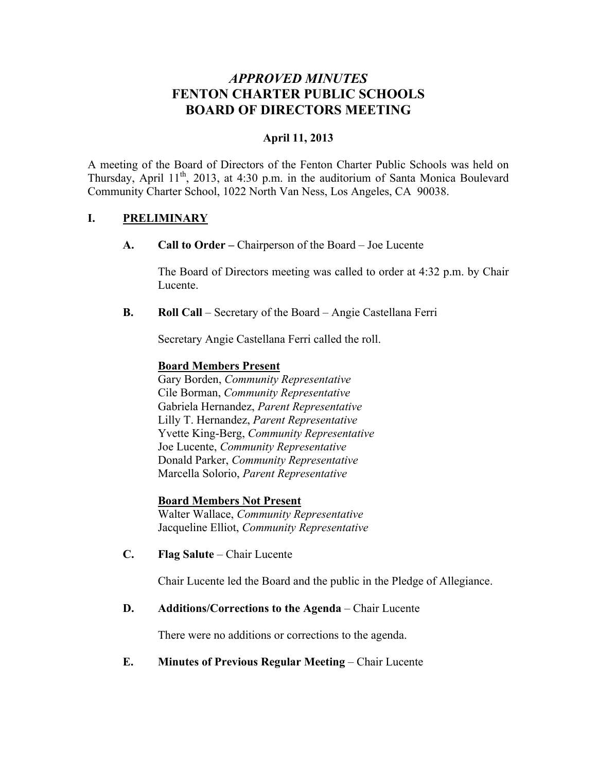# *APPROVED MINUTES* **FENTON CHARTER PUBLIC SCHOOLS BOARD OF DIRECTORS MEETING**

### **April 11, 2013**

A meeting of the Board of Directors of the Fenton Charter Public Schools was held on Thursday, April 11<sup>th</sup>, 2013, at 4:30 p.m. in the auditorium of Santa Monica Boulevard Community Charter School, 1022 North Van Ness, Los Angeles, CA 90038.

### **I. PRELIMINARY**

**A. Call to Order –** Chairperson of the Board – Joe Lucente

The Board of Directors meeting was called to order at 4:32 p.m. by Chair Lucente.

**B. Roll Call** – Secretary of the Board – Angie Castellana Ferri

Secretary Angie Castellana Ferri called the roll.

#### **Board Members Present**

Gary Borden, *Community Representative* Cile Borman, *Community Representative* Gabriela Hernandez, *Parent Representative* Lilly T. Hernandez, *Parent Representative* Yvette King-Berg, *Community Representative* Joe Lucente, *Community Representative* Donald Parker, *Community Representative* Marcella Solorio, *Parent Representative*

#### **Board Members Not Present**

Walter Wallace, *Community Representative* Jacqueline Elliot, *Community Representative*

**C. Flag Salute** – Chair Lucente

Chair Lucente led the Board and the public in the Pledge of Allegiance.

#### **D. Additions/Corrections to the Agenda** – Chair Lucente

There were no additions or corrections to the agenda.

### **E. Minutes of Previous Regular Meeting – Chair Lucente**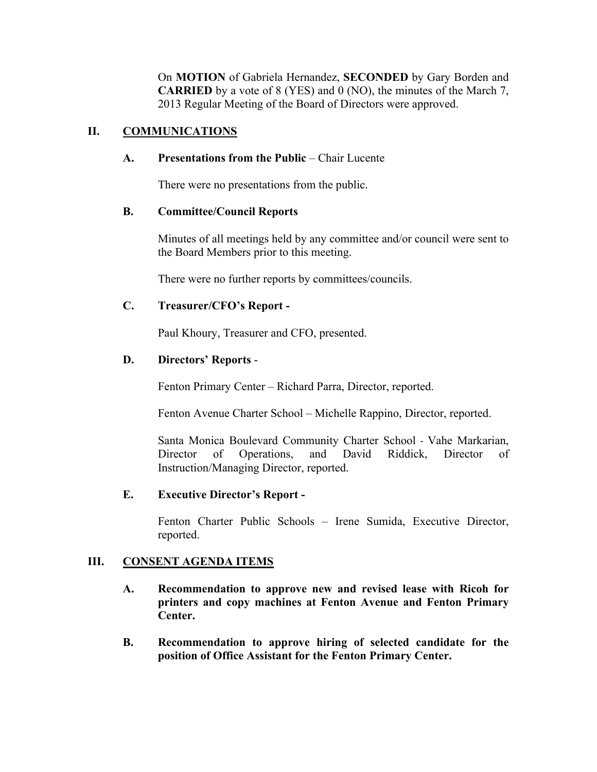On **MOTION** of Gabriela Hernandez, **SECONDED** by Gary Borden and **CARRIED** by a vote of 8 (YES) and 0 (NO), the minutes of the March 7, 2013 Regular Meeting of the Board of Directors were approved.

### **II. COMMUNICATIONS**

### **A. Presentations from the Public** – Chair Lucente

There were no presentations from the public.

#### **B. Committee/Council Reports**

Minutes of all meetings held by any committee and/or council were sent to the Board Members prior to this meeting.

There were no further reports by committees/councils.

### **C. Treasurer/CFO's Report -**

Paul Khoury, Treasurer and CFO, presented.

### **D. Directors' Reports** -

Fenton Primary Center – Richard Parra, Director, reported.

Fenton Avenue Charter School – Michelle Rappino, Director, reported.

Santa Monica Boulevard Community Charter School - Vahe Markarian, Director of Operations, and David Riddick, Director of Instruction/Managing Director, reported.

### **E. Executive Director's Report -**

Fenton Charter Public Schools – Irene Sumida, Executive Director, reported.

### **III. CONSENT AGENDA ITEMS**

- **A. Recommendation to approve new and revised lease with Ricoh for printers and copy machines at Fenton Avenue and Fenton Primary Center.**
- **B. Recommendation to approve hiring of selected candidate for the position of Office Assistant for the Fenton Primary Center.**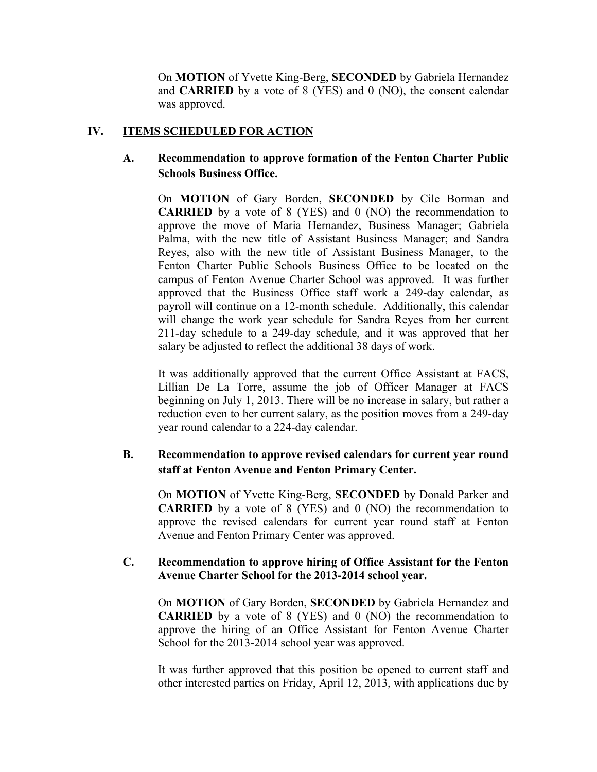On **MOTION** of Yvette King-Berg, **SECONDED** by Gabriela Hernandez and **CARRIED** by a vote of 8 (YES) and 0 (NO), the consent calendar was approved.

#### **IV. ITEMS SCHEDULED FOR ACTION**

### **A. Recommendation to approve formation of the Fenton Charter Public Schools Business Office.**

On **MOTION** of Gary Borden, **SECONDED** by Cile Borman and **CARRIED** by a vote of 8 (YES) and 0 (NO) the recommendation to approve the move of Maria Hernandez, Business Manager; Gabriela Palma, with the new title of Assistant Business Manager; and Sandra Reyes, also with the new title of Assistant Business Manager, to the Fenton Charter Public Schools Business Office to be located on the campus of Fenton Avenue Charter School was approved. It was further approved that the Business Office staff work a 249-day calendar, as payroll will continue on a 12-month schedule. Additionally, this calendar will change the work year schedule for Sandra Reyes from her current 211-day schedule to a 249-day schedule, and it was approved that her salary be adjusted to reflect the additional 38 days of work.

It was additionally approved that the current Office Assistant at FACS, Lillian De La Torre, assume the job of Officer Manager at FACS beginning on July 1, 2013. There will be no increase in salary, but rather a reduction even to her current salary, as the position moves from a 249-day year round calendar to a 224-day calendar.

## **B. Recommendation to approve revised calendars for current year round staff at Fenton Avenue and Fenton Primary Center.**

On **MOTION** of Yvette King-Berg, **SECONDED** by Donald Parker and **CARRIED** by a vote of 8 (YES) and 0 (NO) the recommendation to approve the revised calendars for current year round staff at Fenton Avenue and Fenton Primary Center was approved.

#### **C. Recommendation to approve hiring of Office Assistant for the Fenton Avenue Charter School for the 2013-2014 school year.**

On **MOTION** of Gary Borden, **SECONDED** by Gabriela Hernandez and **CARRIED** by a vote of 8 (YES) and 0 (NO) the recommendation to approve the hiring of an Office Assistant for Fenton Avenue Charter School for the 2013-2014 school year was approved.

It was further approved that this position be opened to current staff and other interested parties on Friday, April 12, 2013, with applications due by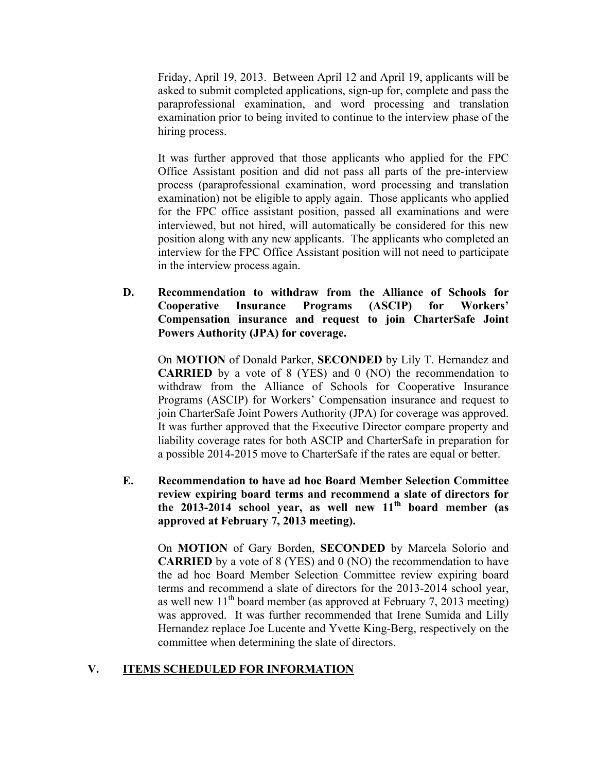Friday, April 19, 2013. Between April 12 and April 19, applicants will be asked to submit completed applications, sign-up for, complete and pass the paraprofessional examination, and word processing and translation examination prior to being invited to continue to the interview phase of the hiring process.

It was further approved that those applicants who applied for the FPC Office Assistant position and did not pass all parts of the pre-interview process (paraprofessional examination, word processing and translation examination) not be eligible to apply again. Those applicants who applied for the FPC office assistant position, passed all examinations and were interviewed, but not hired, will automatically be considered for this new position along with any new applicants. The applicants who completed an interview for the FPC Office Assistant position will not need to participate in the interview process again.

**D. Recommendation to withdraw from the Alliance of Schools for Cooperative Insurance Programs (ASCIP) for Workers' Compensation insurance and request to join CharterSafe Joint Powers Authority (JPA) for coverage.**

On **MOTION** of Donald Parker, **SECONDED** by Lily T. Hernandez and **CARRIED** by a vote of 8 (YES) and 0 (NO) the recommendation to withdraw from the Alliance of Schools for Cooperative Insurance Programs (ASCIP) for Workers' Compensation insurance and request to join CharterSafe Joint Powers Authority (JPA) for coverage was approved. It was further approved that the Executive Director compare property and liability coverage rates for both ASCIP and CharterSafe in preparation for a possible 2014-2015 move to CharterSafe if the rates are equal or better.

**E. Recommendation to have ad hoc Board Member Selection Committee review expiring board terms and recommend a slate of directors for the 2013-2014 school year, as well new 11th board member (as approved at February 7, 2013 meeting).**

On **MOTION** of Gary Borden, **SECONDED** by Marcela Solorio and **CARRIED** by a vote of 8 (YES) and 0 (NO) the recommendation to have the ad hoc Board Member Selection Committee review expiring board terms and recommend a slate of directors for the 2013-2014 school year, as well new  $11<sup>th</sup>$  board member (as approved at February 7, 2013 meeting) was approved. It was further recommended that Irene Sumida and Lilly Hernandez replace Joe Lucente and Yvette King-Berg, respectively on the committee when determining the slate of directors.

### **V. ITEMS SCHEDULED FOR INFORMATION**